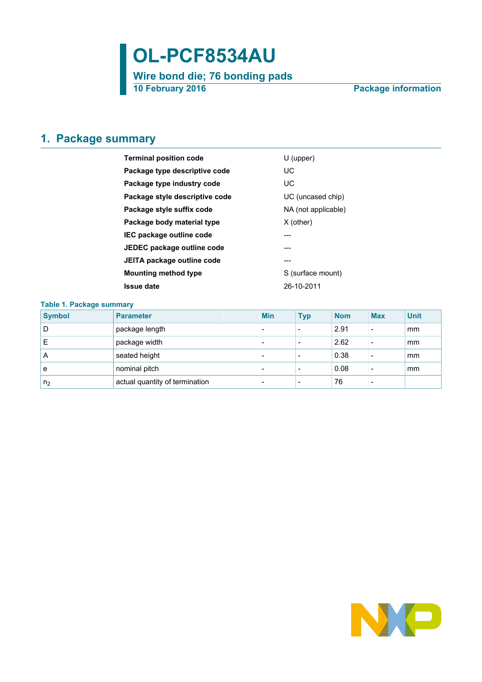# **OL-PCF8534AU**

**Wire bond die; 76 bonding pads 10 February 2016 Package information**

## <span id="page-0-0"></span>**1. Package summary**

| <b>Terminal position code</b>  | $U$ (upper)         |  |  |  |
|--------------------------------|---------------------|--|--|--|
| Package type descriptive code  | UC                  |  |  |  |
| Package type industry code     | UC                  |  |  |  |
| Package style descriptive code | UC (uncased chip)   |  |  |  |
| Package style suffix code      | NA (not applicable) |  |  |  |
| Package body material type     | $X$ (other)         |  |  |  |
| IEC package outline code       | ---                 |  |  |  |
| JEDEC package outline code     |                     |  |  |  |
| JEITA package outline code     | ---                 |  |  |  |
| Mounting method type           | S (surface mount)   |  |  |  |
| Issue date                     | 26-10-2011          |  |  |  |
|                                |                     |  |  |  |

#### **Table 1. Package summary**

| <b>Symbol</b>  | <b>Parameter</b>               | <b>Min</b>               | <b>Typ</b>               | <b>Nom</b> | <b>Max</b>               | <b>Unit</b> |
|----------------|--------------------------------|--------------------------|--------------------------|------------|--------------------------|-------------|
| D              | package length                 | $\overline{\phantom{0}}$ | $\overline{\phantom{0}}$ | 2.91       | $\overline{\phantom{a}}$ | mm          |
| E              | package width                  | $\overline{\phantom{0}}$ |                          | 2.62       | $\overline{\phantom{0}}$ | mm          |
| A              | seated height                  | $\overline{\phantom{0}}$ | $\overline{\phantom{0}}$ | 0.38       | $\overline{\phantom{0}}$ | mm          |
| e              | nominal pitch                  | $\overline{\phantom{0}}$ |                          | 0.08       |                          | mm          |
| n <sub>2</sub> | actual quantity of termination | $\overline{\phantom{0}}$ |                          | 76         |                          |             |

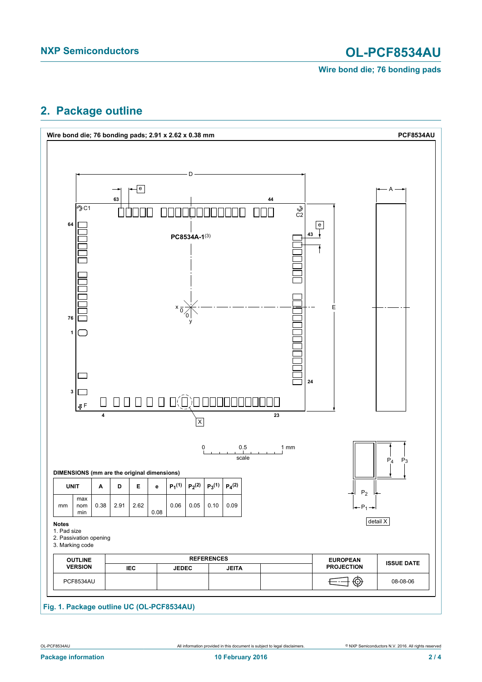# **NXP Semiconductors OL-PCF8534AU**

**Wire bond die; 76 bonding pads**

## <span id="page-1-0"></span>**2. Package outline**

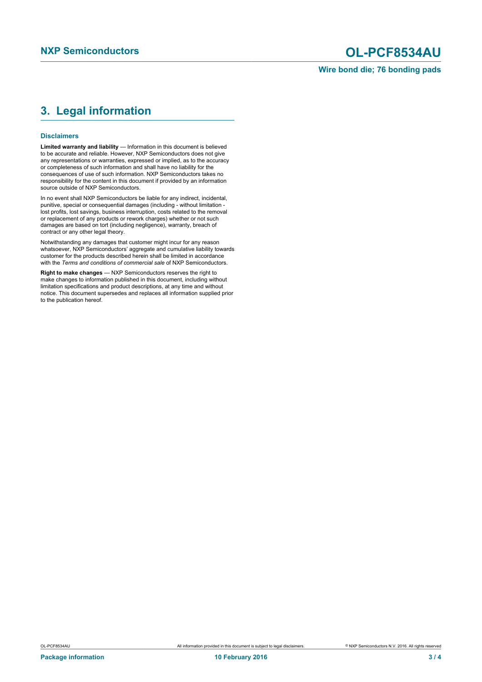# **NXP Semiconductors OL-PCF8534AU**

## <span id="page-2-0"></span>**3. Legal information**

#### **Disclaimers**

**Limited warranty and liability** — Information in this document is believed to be accurate and reliable. However, NXP Semiconductors does not give any representations or warranties, expressed or implied, as to the accuracy or completeness of such information and shall have no liability for the consequences of use of such information. NXP Semiconductors takes no responsibility for the content in this document if provided by an information source outside of NXP Semiconductors.

In no event shall NXP Semiconductors be liable for any indirect, incidental, punitive, special or consequential damages (including - without limitation lost profits, lost savings, business interruption, costs related to the removal or replacement of any products or rework charges) whether or not such damages are based on tort (including negligence), warranty, breach of contract or any other legal theory.

Notwithstanding any damages that customer might incur for any reason whatsoever, NXP Semiconductors' aggregate and cumulative liability towards customer for the products described herein shall be limited in accordance with the *Terms and conditions of commercial sale* of NXP Semiconductors.

**Right to make changes** — NXP Semiconductors reserves the right to make changes to information published in this document, including without limitation specifications and product descriptions, at any time and without notice. This document supersedes and replaces all information supplied prior to the publication hereof.